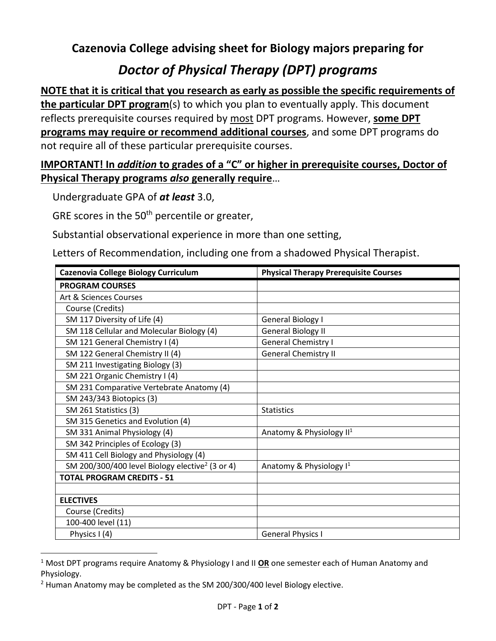## **Cazenovia College advising sheet for Biology majors preparing for**

## *Doctor of Physical Therapy (DPT) programs*

**NOTE that it is critical that you research as early as possible the specific requirements of the particular DPT program**(s) to which you plan to eventually apply. This document reflects prerequisite courses required by most DPT programs. However, **some DPT programs may require or recommend additional courses**, and some DPT programs do not require all of these particular prerequisite courses.

## **IMPORTANT! In** *addition* **to grades of a "C" or higher in prerequisite courses, Doctor of Physical Therapy programs** *also* **generally require**…

Undergraduate GPA of *at least* 3.0,

GRE scores in the 50<sup>th</sup> percentile or greater,

Substantial observational experience in more than one setting,

Letters of Recommendation, including one from a shadowed Physical Therapist.

| <b>Cazenovia College Biology Curriculum</b>                 | <b>Physical Therapy Prerequisite Courses</b> |
|-------------------------------------------------------------|----------------------------------------------|
| <b>PROGRAM COURSES</b>                                      |                                              |
| Art & Sciences Courses                                      |                                              |
| Course (Credits)                                            |                                              |
| SM 117 Diversity of Life (4)                                | General Biology I                            |
| SM 118 Cellular and Molecular Biology (4)                   | <b>General Biology II</b>                    |
| SM 121 General Chemistry I (4)                              | <b>General Chemistry I</b>                   |
| SM 122 General Chemistry II (4)                             | <b>General Chemistry II</b>                  |
| SM 211 Investigating Biology (3)                            |                                              |
| SM 221 Organic Chemistry I (4)                              |                                              |
| SM 231 Comparative Vertebrate Anatomy (4)                   |                                              |
| SM 243/343 Biotopics (3)                                    |                                              |
| SM 261 Statistics (3)                                       | <b>Statistics</b>                            |
| SM 315 Genetics and Evolution (4)                           |                                              |
| SM 331 Animal Physiology (4)                                | Anatomy & Physiology II <sup>1</sup>         |
| SM 342 Principles of Ecology (3)                            |                                              |
| SM 411 Cell Biology and Physiology (4)                      |                                              |
| SM 200/300/400 level Biology elective <sup>2</sup> (3 or 4) | Anatomy & Physiology $I^1$                   |
| <b>TOTAL PROGRAM CREDITS - 51</b>                           |                                              |
|                                                             |                                              |
| <b>ELECTIVES</b>                                            |                                              |
| Course (Credits)                                            |                                              |
| 100-400 level (11)                                          |                                              |
| Physics I (4)                                               | <b>General Physics I</b>                     |

<sup>1</sup> Most DPT programs require Anatomy & Physiology I and II **OR** one semester each of Human Anatomy and Physiology.

<sup>&</sup>lt;sup>2</sup> Human Anatomy may be completed as the SM 200/300/400 level Biology elective.